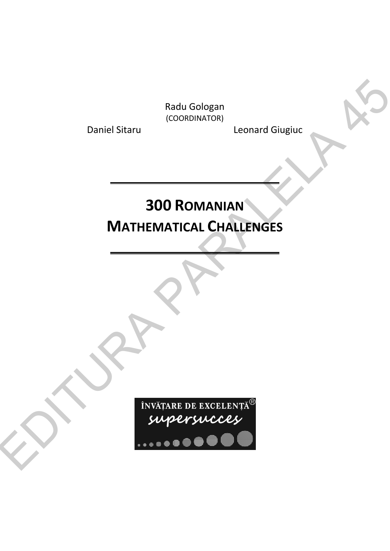Radu Gologan (COORDINATOR)

Daniel Sitaru **Leonard Giugiuc** 

## **300 ROMANIAN MATHEMATICAL CHALLENGES**

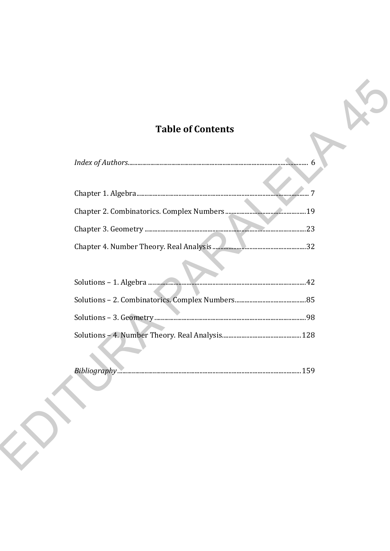## **Table of Contents**

| .23 |
|-----|
|     |
|     |
|     |
|     |
|     |
|     |

| <b>Bibliog</b> |  |  |  |  |
|----------------|--|--|--|--|
|----------------|--|--|--|--|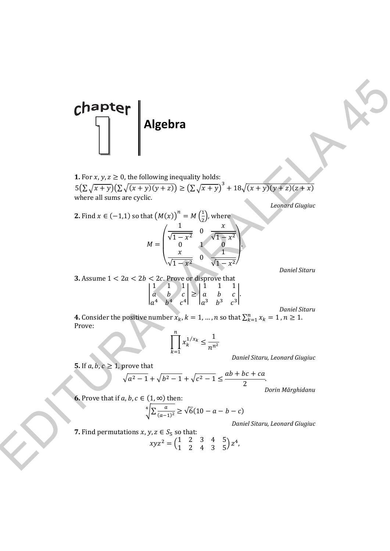

**1.** For  $x, y, z \ge 0$ , the following inequality holds:  $5(\sum \sqrt{x+y})(\sum \sqrt{(x+y)(y+z)}) \ge (\sum \sqrt{x+y})^3 + 18\sqrt{(x+y)(y+z)(z+x)}$ where all sums are cyclic.

*Leonard Giugiuc* 

**Chapter**  
\n1. For *x, y, z* ≥ 0, the following inequality holds:  
\n
$$
5(2\sqrt{x+y})(2\sqrt{(x+y)(y+z)}) \ge (2\sqrt{x+y})^3 + 18\sqrt{(x+y)(y+z)}(2\neq x)
$$
\nwhere all sums are cyclic.  
\n2. Find  $x \in (-1,1)$  so that  $(M(x))^{n} = M(\frac{1}{x})$  where  $M(\frac{1}{x})$  is the *constant Figure* 2.  $\sqrt{x^2 + x^2}$  is the *constant linear dividing* 
$$
M = \begin{pmatrix} \frac{1}{\sqrt{1-x^2}} & 0 & \frac{x}{\sqrt{1-x^2}} \\ \frac{x}{\sqrt{1-x^2}} & 0 & \frac{1}{\sqrt{1-x^2}} \end{pmatrix}
$$
\n3. Assume  $1 < 2a < 2b < 2c$ . Prove that  $\begin{cases} \frac{1}{a} & \frac{1}{b} & \frac{1}{c} \\ \frac{1}{a} & \frac{1}{b} & \frac{1}{c} \\ \frac{1}{a} & \frac{1}{b} & \frac{1}{c} \end{cases} = \begin{cases} \frac{1}{a} & \frac{1}{b} & \frac{1}{c} \\ \frac{1}{a} & \frac{1}{b} & \frac{1}{c} \\ \frac{1}{a} & \frac{1}{b} & \frac{1}{c} \end{cases}$   
\n4. Consider the positive number  $x_k$ ,  $k = 1, ..., n$  so that  $\sum_{k=1}^{n} x_k = 1, m \ge 1$ .  
\nProve:  
\n
$$
\begin{cases} \sum_{k=1}^{n} x_k^{1/x_k} \le \frac{1}{n^{n^2}} \\ \sum_{k=1}^{n} x_k^{1/x_k} \le \frac{1}{n^{n^2}} \end{cases}
$$
\n5. If *a, b, c* ≥ 1, prove that  
\n
$$
\sqrt{a^2 - 1} + \sqrt{b^2 - 1} + \sqrt{c^2 - 1} \le \frac{ab + bc + ca}{2}
$$
\n6. Prove that if *a, b, c* ∈ (1, ∞) then:  
\n
$$
\sqrt[4]{\frac{2}{(a-1)^2}} \ge \sqrt{6}(10 - a
$$

*Daniel Sitaru* 

**3.** Assume  $1 < 2a < 2b < 2c$ . Prove or disprove that

l

1 1 1 a *b* c  $a^4$   $b^4$   $c^4$  $\begin{bmatrix} 1 & 1 & 1 \\ 2 & a & b & c \end{bmatrix}$  $a^3$   $b^3$   $c^3$ อ.

*Daniel Sitaru* 

**4.** Consider the positive number  $x_k$ ,  $k = 1, ..., n$  so that  $\sum_{k=1}^{n} x_k = 1$ ,  $n \ge 1$ . Prove:

$$
\prod_{k=1}^n x_k^{1/x_k} \le \frac{1}{n^{n^2}}
$$

*Daniel Sitaru, Leonard Giugiuc* 

**5.** If  $a, b, c \geq 1$ , prove that

**2.** Find  $x$ 

$$
\sqrt{a^2 - 1} + \sqrt{b^2 - 1} + \sqrt{c^2 - 1} \le \frac{ab + bc + ca}{2}.
$$

*Dorin Mărghidanu* 

**6.** Prove that if  $a, b, c \in (1, \infty)$  then:

$$
\sqrt[4]{\sum_{(a-1)^2} a} \ge \sqrt{6}(10 - a - b - c)
$$

*Daniel Sitaru, Leonard Giugiuc* 

7. Find permutations 
$$
x, y, z \in S_5
$$
 so that:  
\n
$$
xyz^2 = \begin{pmatrix} 1 & 2 & 3 & 4 & 5 \\ 1 & 2 & 4 & 3 & 5 \end{pmatrix} z^4,
$$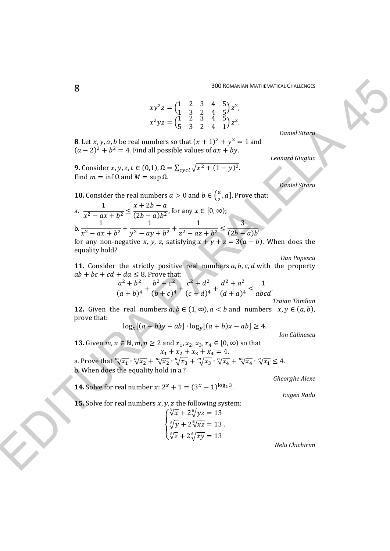,

$$
xy^{2}z = \begin{pmatrix} 1 & 2 & 3 & 4 & 5 \\ 1 & 3 & 2 & 4 & 5 \end{pmatrix} z^{2},
$$
  
\n
$$
x^{2}yz = \begin{pmatrix} 1 & 2 & 3 & 4 & 5 \\ 5 & 3 & 2 & 4 & 1 \end{pmatrix} z^{2}.
$$

*Daniel Sitaru* 

**8**. Let x, y, a, b be real numbers so that  $(x + 1)^2 + y^2 = 1$  and  $(a-2)^2 + b^2 = 4$ . Find all possible values of  $ax + by$ .

**9.** Consider *x*, *y*, *z*, *t* ∈ (0,1),  $\Omega = \sum_{cycl} \sqrt{x^2 + (1 - y)^2}$ . Find  $m = \inf \Omega$  and  $M = \sup \Omega$ .

*Daniel Sitaru* 

*Leonard Giugiuc* 

**10.** Consider the real numbers  $a > 0$  and  $b \in \left(\frac{a}{2}, a\right]$ . Prove that:

a. 
$$
\frac{1}{x^2 - ax + b^2} \le \frac{x + 2b - a}{(2b - a)b^2}
$$
, for any  $x \in [0, \infty)$ ;  
b. 
$$
\frac{1}{x^2 - ax + b^2} + \frac{1}{y^2 - ay + b^2} + \frac{1}{z^2 - az + b^2} \le \frac{3}{(2b - a)b}
$$

for any non-negative *x*, *y*, *z*, satisfying  $x + y + z = 3(a - b)$ . When does the equality hold?

*Dan Popescu* 

**11.** Consider the strictly positive real numbers *a*, *b*, *c*, *d* with the property  $ab + bc + cd + da \leq 8$ . Prove that:

$$
\frac{a^2+b^2}{(a+b)^4} + \frac{b^2+c^2}{(b+c)^4} + \frac{c^2+d^2}{(c+d)^4} + \frac{d^2+a^2}{(d+a)^4} \le \frac{1}{abcd}.
$$

*Traian Tămîian* 

**12.** Given the real numbers  $a, b \in (1, \infty)$ ,  $a < b$  and numbers  $x, y \in (a, b)$ , prove that:

$$
\log_x[(a+b)y - ab] \cdot \log_y[(a+b)x - ab] \ge 4.
$$

*Ion Călinescu* 

**13.** Given  $m, n \in \mathbb{N}, m, n \ge 2$  and  $x_1, x_2, x_3, x_4 \in [0, ∞)$  so that  $x_1 + x_2 + x_3 + x_4 = 4.$ a. Prove that  $\sqrt[m]{x_1} \cdot \sqrt[n]{x_2} + \sqrt[m]{x_2} \cdot \sqrt[n]{x_3} + \sqrt[m]{x_3} \cdot \sqrt[n]{x_4} + \sqrt[m]{x_4} \cdot \sqrt[n]{x_1} \le 4$ . b. When does the equality hold in a.? SO Stream and Constraints of Constraints of Constraints of Constraints of Constraints of Constraints of Constraints of Constraints of Constraints of the matter state of the stream of  $(x - 2)^2 + b^2 = 4$ . Hence, the stream o

*Gheorghe Alexe* 

*Eugen Radu* 

**15.** Solve for real numbers  $x$ ,  $y$ ,  $z$  the following system:

**14.** Solve for real number  $x: 2^x + 1 = (3^x - 1)^{\log_2 3}$ .

$$
\begin{cases}\n\sqrt[3]{x} + 2\sqrt[6]{yz} = 13\\ \n\sqrt[3]{y} + 2\sqrt[6]{xz} = 13\\ \n\sqrt[3]{z} + 2\sqrt[6]{xy} = 13\n\end{cases}
$$

*Nelu Chichirim*